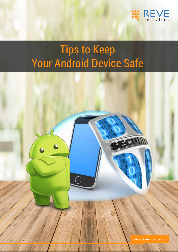

# Tips to Keep Your Android Device Safe

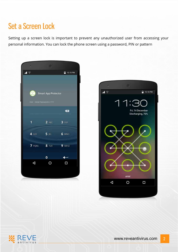# Set a Screen Lock

Setting up a screen lock is important to prevent any unauthorized user from accessing your personal information. You can lock the phone screen using a password, PIN or pattern





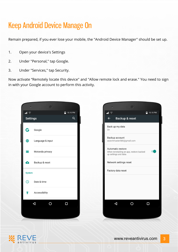# Keep Android Device Manage On

Remain prepared, if you ever lose your mobile, the "Android Device Manager" should be set up.

- 1. Open your device's Settings
- 2. Under "Personal," tap Google.
- 3. Under "Services," tap Security.

Now activate "Remotely locate this device" and "Allow remote lock and erase." You need to sign in with your Google account to perform this activity.





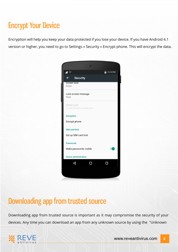# Encrypt Your Device

Encryption will help you keep your data protected if you lose your device. If you have Android 4.1 version or higher, you need to go to Settings » Security » Encrypt phone. This will encrypt the data.



#### Downloading app from trusted source

Downloading app from trusted source is important as it may compromise the security of your devices. Any time you can download an app from any unknown source by using the "Unknown

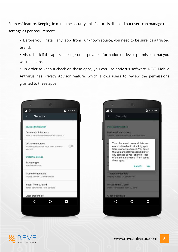Sources" feature. Keeping in mind the security, this feature is disabled but users can manage the settings as per requirement.

- Before you install any app from unknown source, you need to be sure it's a trusted brand.
- Also, check if the app is seeking some private information or device permission that you will not share.
- In order to keep a check on these apps, you can use antivirus software. REVE Mobile Antivirus has Privacy Advisor feature, which allows users to review the permissions granted to these apps.